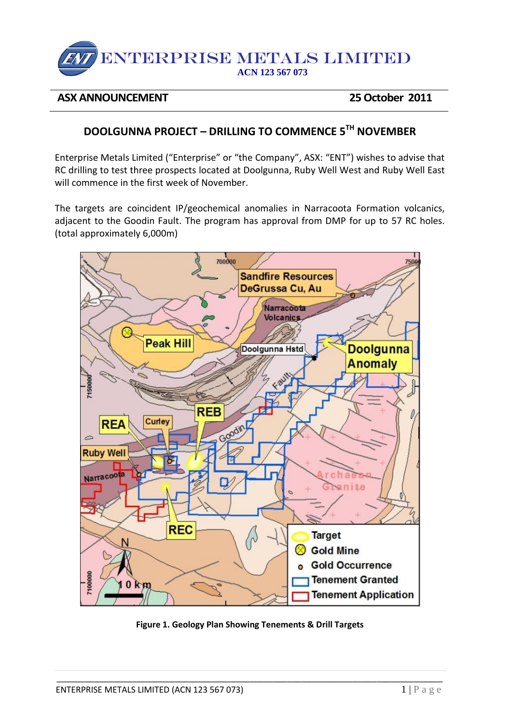# ENTERPRISE METALS LIMITED **ACN 123 567 073**

#### **ASX ANNOUNCEMENT 25 October 2011**

## **DOOLGUNNA PROJECT – DRILLING TO COMMENCE 5TH NOVEMBER**

Enterprise Metals Limited ("Enterprise" or "the Company", ASX: "ENT") wishes to advise that RC drilling to test three prospects located at Doolgunna, Ruby Well West and Ruby Well East will commence in the first week of November.

The targets are coincident IP/geochemical anomalies in Narracoota Formation volcanics, adjacent to the Goodin Fault. The program has approval from DMP for up to 57 RC holes. (total approximately 6,000m)



**Figure 1. Geology Plan Showing Tenements & Drill Targets**

\_\_\_\_\_\_\_\_\_\_\_\_\_\_\_\_\_\_\_\_\_\_\_\_\_\_\_\_\_\_\_\_\_\_\_\_\_\_\_\_\_\_\_\_\_\_\_\_\_\_\_\_\_\_\_\_\_\_\_\_\_\_\_\_\_\_\_\_\_\_\_\_\_\_\_\_\_\_\_\_\_\_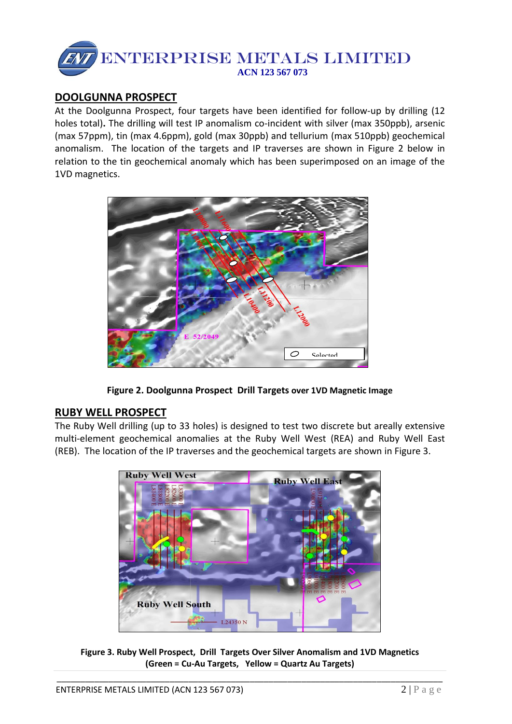

### **DOOLGUNNA PROSPECT**

At the Doolgunna Prospect, four targets have been identified for follow-up by drilling (12 holes total)**.** The drilling will test IP anomalism co-incident with silver (max 350ppb), arsenic (max 57ppm), tin (max 4.6ppm), gold (max 30ppb) and tellurium (max 510ppb) geochemical anomalism. The location of the targets and IP traverses are shown in Figure 2 below in relation to the tin geochemical anomaly which has been superimposed on an image of the 1VD magnetics.



**Figure 2. Doolgunna Prospect Drill Targets over 1VD Magnetic Image**

#### **RUBY WELL PROSPECT**

The Ruby Well drilling (up to 33 holes) is designed to test two discrete but areally extensive multi-element geochemical anomalies at the Ruby Well West (REA) and Ruby Well East (REB). The location of the IP traverses and the geochemical targets are shown in Figure 3.



**Figure 3. Ruby Well Prospect, Drill Targets Over Silver Anomalism and 1VD Magnetics (Green = Cu-Au Targets, Yellow = Quartz Au Targets)**

\_\_\_\_\_\_\_\_\_\_\_\_\_\_\_\_\_\_\_\_\_\_\_\_\_\_\_\_\_\_\_\_\_\_\_\_\_\_\_\_\_\_\_\_\_\_\_\_\_\_\_\_\_\_\_\_\_\_\_\_\_\_\_\_\_\_\_\_\_\_\_\_\_\_\_\_\_\_\_\_\_\_